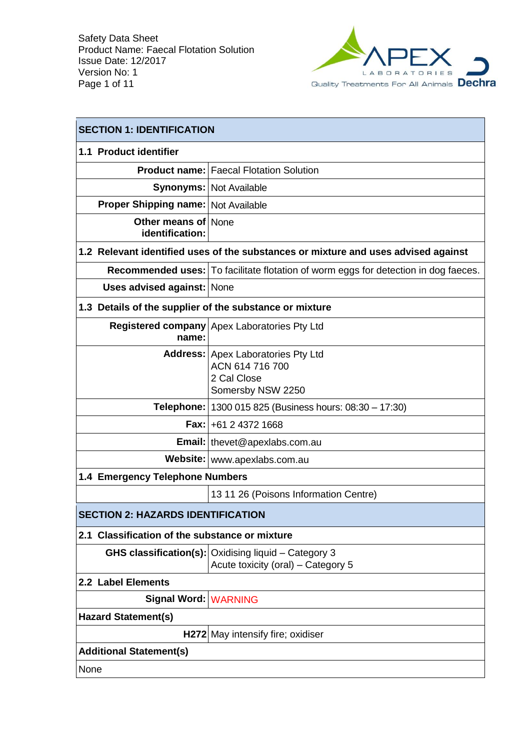

| <b>SECTION 1: IDENTIFICATION</b>                        |                                                                                                   |  |
|---------------------------------------------------------|---------------------------------------------------------------------------------------------------|--|
| 1.1 Product identifier                                  |                                                                                                   |  |
|                                                         | <b>Product name: Faecal Flotation Solution</b>                                                    |  |
|                                                         | <b>Synonyms: Not Available</b>                                                                    |  |
| <b>Proper Shipping name: Not Available</b>              |                                                                                                   |  |
| <b>Other means of None</b><br>identification:           |                                                                                                   |  |
|                                                         | 1.2 Relevant identified uses of the substances or mixture and uses advised against                |  |
|                                                         | <b>Recommended uses:</b> To facilitate flotation of worm eggs for detection in dog faeces.        |  |
| Uses advised against: None                              |                                                                                                   |  |
| 1.3 Details of the supplier of the substance or mixture |                                                                                                   |  |
| name:                                                   | Registered company   Apex Laboratories Pty Ltd                                                    |  |
|                                                         | Address: Apex Laboratories Pty Ltd<br>ACN 614 716 700<br>2 Cal Close<br>Somersby NSW 2250         |  |
|                                                         | <b>Telephone:</b>   1300 015 825 (Business hours: 08:30 – 17:30)                                  |  |
|                                                         | <b>Fax: +61 2 4372 1668</b>                                                                       |  |
|                                                         | Email:   thevet@apexlabs.com.au                                                                   |  |
|                                                         | Website: www.apexlabs.com.au                                                                      |  |
| 1.4 Emergency Telephone Numbers                         |                                                                                                   |  |
|                                                         | 13 11 26 (Poisons Information Centre)                                                             |  |
| <b>SECTION 2: HAZARDS IDENTIFICATION</b>                |                                                                                                   |  |
| 2.1 Classification of the substance or mixture          |                                                                                                   |  |
|                                                         | <b>GHS classification(s): Oxidising liquid - Category 3</b><br>Acute toxicity (oral) - Category 5 |  |
| 2.2 Label Elements                                      |                                                                                                   |  |
| Signal Word: WARNING                                    |                                                                                                   |  |
| <b>Hazard Statement(s)</b>                              |                                                                                                   |  |
|                                                         | H272 May intensify fire; oxidiser                                                                 |  |
| <b>Additional Statement(s)</b>                          |                                                                                                   |  |
| None                                                    |                                                                                                   |  |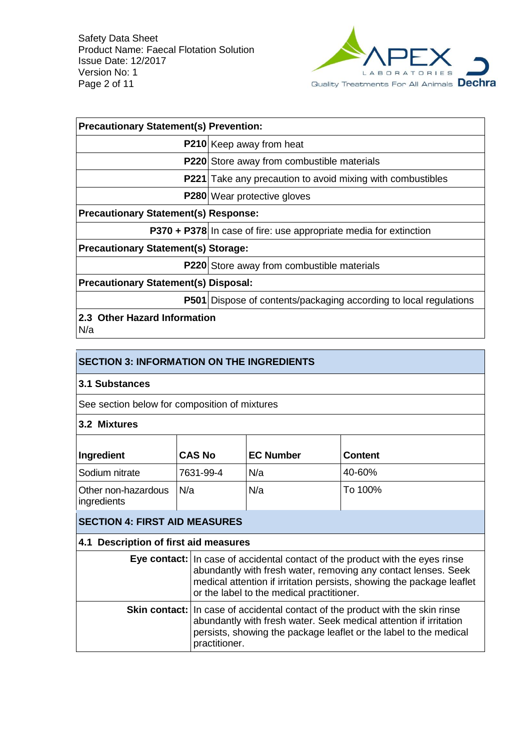

| <b>Precautionary Statement(s) Prevention:</b> |                                                                          |  |  |
|-----------------------------------------------|--------------------------------------------------------------------------|--|--|
|                                               | P210 Keep away from heat                                                 |  |  |
|                                               | P220 Store away from combustible materials                               |  |  |
|                                               | <b>P221</b> Take any precaution to avoid mixing with combustibles        |  |  |
|                                               | <b>P280</b> Wear protective gloves                                       |  |  |
| <b>Precautionary Statement(s) Response:</b>   |                                                                          |  |  |
|                                               | P370 + P378 In case of fire: use appropriate media for extinction        |  |  |
| <b>Precautionary Statement(s) Storage:</b>    |                                                                          |  |  |
|                                               | <b>P220</b> Store away from combustible materials                        |  |  |
| <b>Precautionary Statement(s) Disposal:</b>   |                                                                          |  |  |
|                                               | <b>P501</b> Dispose of contents/packaging according to local regulations |  |  |
| 2.3 Other Hazard Information<br>N/a           |                                                                          |  |  |

|  | <b>SECTION 3: INFORMATION ON THE INGREDIENTS</b> |
|--|--------------------------------------------------|
|  |                                                  |

### **3.1 Substances**

See section below for composition of mixtures

#### **3.2 Mixtures**

| Ingredient                          | <b>CAS No</b> | <b>EC Number</b> | <b>Content</b> |
|-------------------------------------|---------------|------------------|----------------|
| Sodium nitrate                      | 7631-99-4     | N/a              | 40-60%         |
| Other non-hazardous<br>lingredients | N/a           | N/a              | To 100%        |

## **SECTION 4: FIRST AID MEASURES**

### **4.1 Description of first aid measures**

| Eye contact: In case of accidental contact of the product with the eyes rinse<br>abundantly with fresh water, removing any contact lenses. Seek<br>medical attention if irritation persists, showing the package leaflet<br>or the label to the medical practitioner. |
|-----------------------------------------------------------------------------------------------------------------------------------------------------------------------------------------------------------------------------------------------------------------------|
| <b>Skin contact:</b> In case of accidental contact of the product with the skin rinse<br>abundantly with fresh water. Seek medical attention if irritation<br>persists, showing the package leaflet or the label to the medical<br>practitioner.                      |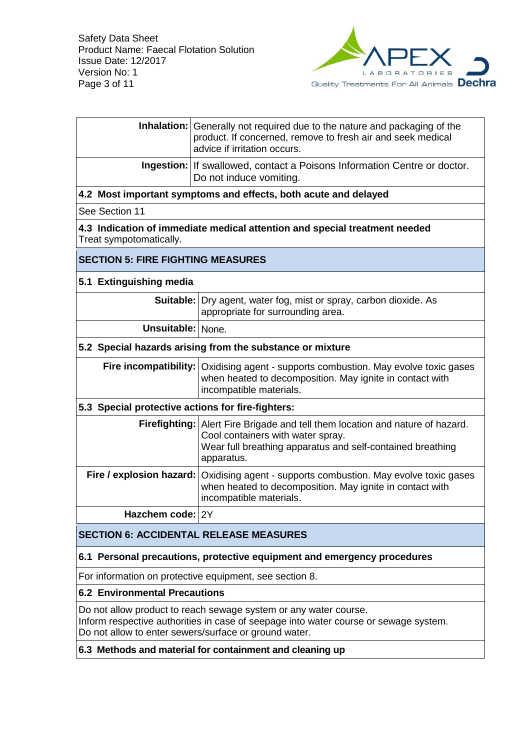

|                                                   | <b>Inhalation:</b> Generally not required due to the nature and packaging of the<br>product. If concerned, remove to fresh air and seek medical<br>advice if irritation occurs.                                   |  |
|---------------------------------------------------|-------------------------------------------------------------------------------------------------------------------------------------------------------------------------------------------------------------------|--|
|                                                   | <b>Ingestion:</b> If swallowed, contact a Poisons Information Centre or doctor.<br>Do not induce vomiting.                                                                                                        |  |
|                                                   | 4.2 Most important symptoms and effects, both acute and delayed                                                                                                                                                   |  |
| See Section 11                                    |                                                                                                                                                                                                                   |  |
| Treat sympotomatically.                           | 4.3 Indication of immediate medical attention and special treatment needed                                                                                                                                        |  |
| <b>SECTION 5: FIRE FIGHTING MEASURES</b>          |                                                                                                                                                                                                                   |  |
| 5.1 Extinguishing media                           |                                                                                                                                                                                                                   |  |
|                                                   | <b>Suitable:</b> Dry agent, water fog, mist or spray, carbon dioxide. As<br>appropriate for surrounding area.                                                                                                     |  |
| <b>Unsuitable: None.</b>                          |                                                                                                                                                                                                                   |  |
|                                                   | 5.2 Special hazards arising from the substance or mixture                                                                                                                                                         |  |
|                                                   | Fire incompatibility:   Oxidising agent - supports combustion. May evolve toxic gases<br>when heated to decomposition. May ignite in contact with<br>incompatible materials.                                      |  |
| 5.3 Special protective actions for fire-fighters: |                                                                                                                                                                                                                   |  |
|                                                   | Firefighting: Alert Fire Brigade and tell them location and nature of hazard.<br>Cool containers with water spray.<br>Wear full breathing apparatus and self-contained breathing<br>apparatus.                    |  |
|                                                   | Fire / explosion hazard: Oxidising agent - supports combustion. May evolve toxic gases<br>when heated to decomposition. May ignite in contact with<br>incompatible materials.                                     |  |
| Hazchem code: 2Y                                  |                                                                                                                                                                                                                   |  |
| <b>SECTION 6: ACCIDENTAL RELEASE MEASURES</b>     |                                                                                                                                                                                                                   |  |
|                                                   | 6.1 Personal precautions, protective equipment and emergency procedures                                                                                                                                           |  |
|                                                   | For information on protective equipment, see section 8.                                                                                                                                                           |  |
| <b>6.2 Environmental Precautions</b>              |                                                                                                                                                                                                                   |  |
|                                                   | Do not allow product to reach sewage system or any water course.<br>Inform respective authorities in case of seepage into water course or sewage system.<br>Do not allow to enter sewers/surface or ground water. |  |
|                                                   | 6.3 Methods and material for containment and cleaning up                                                                                                                                                          |  |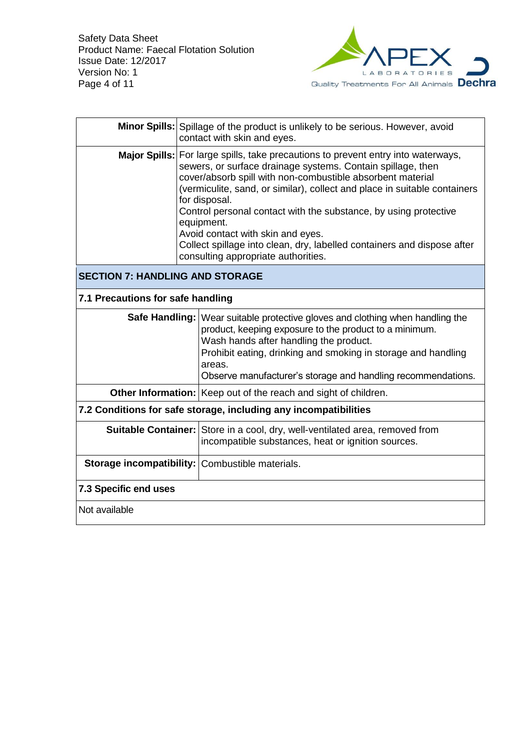

|                                                                  | <b>Minor Spills:</b> Spillage of the product is unlikely to be serious. However, avoid<br>contact with skin and eyes.                                                                                                                                                                                                                                                                                                                                                                                                                                   |  |
|------------------------------------------------------------------|---------------------------------------------------------------------------------------------------------------------------------------------------------------------------------------------------------------------------------------------------------------------------------------------------------------------------------------------------------------------------------------------------------------------------------------------------------------------------------------------------------------------------------------------------------|--|
|                                                                  | Major Spills:   For large spills, take precautions to prevent entry into waterways,<br>sewers, or surface drainage systems. Contain spillage, then<br>cover/absorb spill with non-combustible absorbent material<br>(vermiculite, sand, or similar), collect and place in suitable containers<br>for disposal.<br>Control personal contact with the substance, by using protective<br>equipment.<br>Avoid contact with skin and eyes.<br>Collect spillage into clean, dry, labelled containers and dispose after<br>consulting appropriate authorities. |  |
| <b>SECTION 7: HANDLING AND STORAGE</b>                           |                                                                                                                                                                                                                                                                                                                                                                                                                                                                                                                                                         |  |
| 7.1 Precautions for safe handling                                |                                                                                                                                                                                                                                                                                                                                                                                                                                                                                                                                                         |  |
| Safe Handling:                                                   | Wear suitable protective gloves and clothing when handling the<br>product, keeping exposure to the product to a minimum.<br>Wash hands after handling the product.<br>Prohibit eating, drinking and smoking in storage and handling<br>areas.<br>Observe manufacturer's storage and handling recommendations.                                                                                                                                                                                                                                           |  |
|                                                                  | Other Information: Keep out of the reach and sight of children.                                                                                                                                                                                                                                                                                                                                                                                                                                                                                         |  |
| 7.2 Conditions for safe storage, including any incompatibilities |                                                                                                                                                                                                                                                                                                                                                                                                                                                                                                                                                         |  |
| <b>Suitable Container:</b>                                       | Store in a cool, dry, well-ventilated area, removed from<br>incompatible substances, heat or ignition sources.                                                                                                                                                                                                                                                                                                                                                                                                                                          |  |
|                                                                  | <b>Storage incompatibility: Combustible materials.</b>                                                                                                                                                                                                                                                                                                                                                                                                                                                                                                  |  |
| <b>7.3 Specific end uses</b>                                     |                                                                                                                                                                                                                                                                                                                                                                                                                                                                                                                                                         |  |
| Not available                                                    |                                                                                                                                                                                                                                                                                                                                                                                                                                                                                                                                                         |  |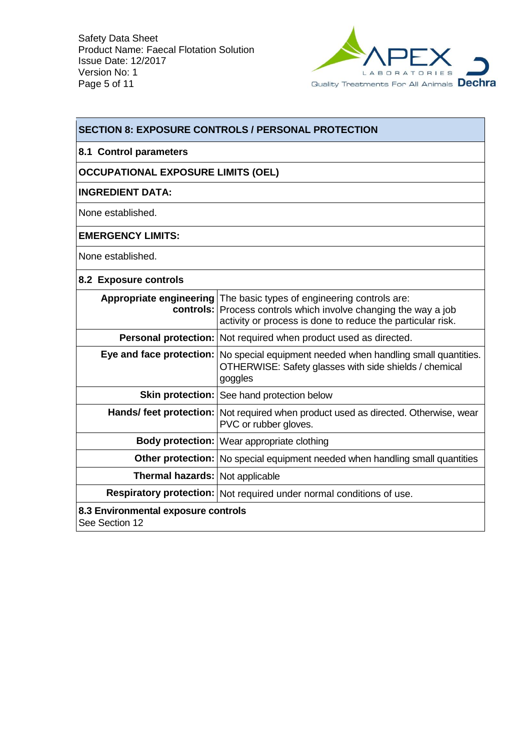

| <b>SECTION 8: EXPOSURE CONTROLS / PERSONAL PROTECTION</b>            |                                                                                                                                                                                                                |  |  |
|----------------------------------------------------------------------|----------------------------------------------------------------------------------------------------------------------------------------------------------------------------------------------------------------|--|--|
| 8.1 Control parameters                                               |                                                                                                                                                                                                                |  |  |
| <b>OCCUPATIONAL EXPOSURE LIMITS (OEL)</b>                            |                                                                                                                                                                                                                |  |  |
| <b>INGREDIENT DATA:</b>                                              |                                                                                                                                                                                                                |  |  |
| None established.                                                    |                                                                                                                                                                                                                |  |  |
| <b>EMERGENCY LIMITS:</b>                                             |                                                                                                                                                                                                                |  |  |
| None established.                                                    |                                                                                                                                                                                                                |  |  |
| 8.2 Exposure controls                                                |                                                                                                                                                                                                                |  |  |
|                                                                      | Appropriate engineering   The basic types of engineering controls are:<br><b>controls:</b> Process controls which involve changing the way a job<br>activity or process is done to reduce the particular risk. |  |  |
|                                                                      | Personal protection: Not required when product used as directed.                                                                                                                                               |  |  |
| Eye and face protection:                                             | No special equipment needed when handling small quantities.<br>OTHERWISE: Safety glasses with side shields / chemical<br>goggles                                                                               |  |  |
|                                                                      | Skin protection:   See hand protection below                                                                                                                                                                   |  |  |
|                                                                      | Hands/ feet protection:   Not required when product used as directed. Otherwise, wear<br>PVC or rubber gloves.                                                                                                 |  |  |
|                                                                      | Body protection:   Wear appropriate clothing                                                                                                                                                                   |  |  |
|                                                                      | Other protection:   No special equipment needed when handling small quantities                                                                                                                                 |  |  |
| Thermal hazards: Not applicable                                      |                                                                                                                                                                                                                |  |  |
| Respiratory protection: Not required under normal conditions of use. |                                                                                                                                                                                                                |  |  |
| 8.3 Environmental exposure controls<br>See Section 12                |                                                                                                                                                                                                                |  |  |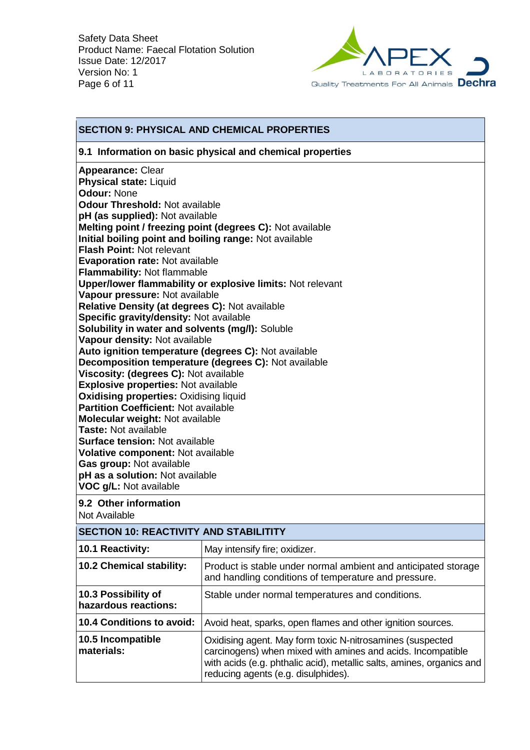

### **SECTION 9: PHYSICAL AND CHEMICAL PROPERTIES 9.1 Information on basic physical and chemical properties Appearance:** Clear **Physical state:** Liquid **Odour:** None **Odour Threshold:** Not available **pH (as supplied):** Not available **Melting point / freezing point (degrees C):** Not available **Initial boiling point and boiling range:** Not available **Flash Point:** Not relevant **Evaporation rate:** Not available **Flammability:** Not flammable **Upper/lower flammability or explosive limits:** Not relevant **Vapour pressure:** Not available **Relative Density (at degrees C):** Not available **Specific gravity/density:** Not available **Solubility in water and solvents (mg/l):** Soluble **Vapour density:** Not available **Auto ignition temperature (degrees C):** Not available **Decomposition temperature (degrees C):** Not available **Viscosity: (degrees C):** Not available **Explosive properties:** Not available **Oxidising properties: Oxidising liquid Partition Coefficient:** Not available **Molecular weight:** Not available **Taste:** Not available **Surface tension:** Not available **Volative component:** Not available **Gas group:** Not available **pH as a solution:** Not available **VOC g/L:** Not available **9.2 Other information** Not Available **SECTION 10: REACTIVITY AND STABILITITY 10.1 Reactivity:** May intensify fire; oxidizer. **10.2 Chemical stability:** Product is stable under normal ambient and anticipated storage and handling conditions of temperature and pressure. **10.3 Possibility of hazardous reactions:** Stable under normal temperatures and conditions.

**10.4 Conditions to avoid:** Avoid heat, sparks, open flames and other ignition sources. **10.5 Incompatible materials:** Oxidising agent. May form toxic N-nitrosamines (suspected carcinogens) when mixed with amines and acids. Incompatible with acids (e.g. phthalic acid), metallic salts, amines, organics and reducing agents (e.g. disulphides).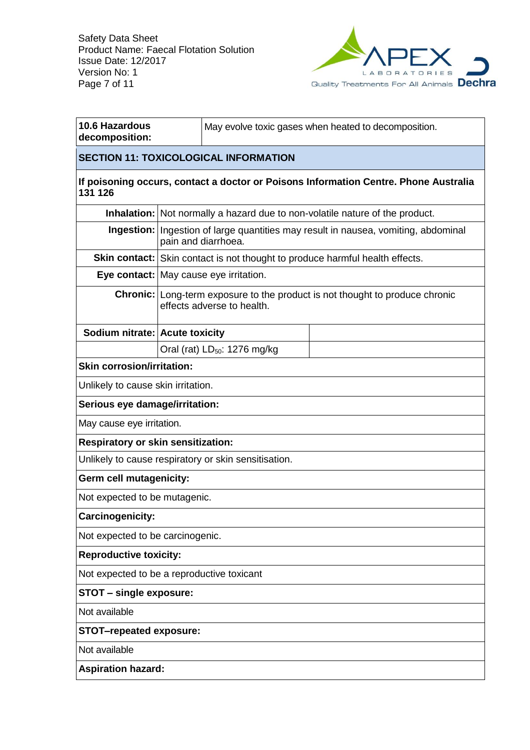

٦

| 10.6 Hazardous<br>decomposition:                                                                | May evolve toxic gases when heated to decomposition. |                                                                                                                   |                                                                                           |
|-------------------------------------------------------------------------------------------------|------------------------------------------------------|-------------------------------------------------------------------------------------------------------------------|-------------------------------------------------------------------------------------------|
| <b>SECTION 11: TOXICOLOGICAL INFORMATION</b>                                                    |                                                      |                                                                                                                   |                                                                                           |
| If poisoning occurs, contact a doctor or Poisons Information Centre. Phone Australia<br>131 126 |                                                      |                                                                                                                   |                                                                                           |
|                                                                                                 |                                                      |                                                                                                                   | Inhalation: Not normally a hazard due to non-volatile nature of the product.              |
|                                                                                                 |                                                      | pain and diarrhoea.                                                                                               | <b>Ingestion:</b> Ingestion of large quantities may result in nausea, vomiting, abdominal |
|                                                                                                 |                                                      |                                                                                                                   | <b>Skin contact:</b> Skin contact is not thought to produce harmful health effects.       |
|                                                                                                 |                                                      | Eye contact: May cause eye irritation.                                                                            |                                                                                           |
|                                                                                                 |                                                      | <b>Chronic:</b> Long-term exposure to the product is not thought to produce chronic<br>effects adverse to health. |                                                                                           |
| Sodium nitrate: Acute toxicity                                                                  |                                                      |                                                                                                                   |                                                                                           |
|                                                                                                 |                                                      | Oral (rat) LD <sub>50</sub> : 1276 mg/kg                                                                          |                                                                                           |
| <b>Skin corrosion/irritation:</b>                                                               |                                                      |                                                                                                                   |                                                                                           |
| Unlikely to cause skin irritation.                                                              |                                                      |                                                                                                                   |                                                                                           |
| Serious eye damage/irritation:                                                                  |                                                      |                                                                                                                   |                                                                                           |
| May cause eye irritation.                                                                       |                                                      |                                                                                                                   |                                                                                           |
| <b>Respiratory or skin sensitization:</b>                                                       |                                                      |                                                                                                                   |                                                                                           |
|                                                                                                 |                                                      | Unlikely to cause respiratory or skin sensitisation.                                                              |                                                                                           |
| Germ cell mutagenicity:                                                                         |                                                      |                                                                                                                   |                                                                                           |
| Not expected to be mutagenic.                                                                   |                                                      |                                                                                                                   |                                                                                           |
| Carcinogenicity:                                                                                |                                                      |                                                                                                                   |                                                                                           |
| Not expected to be carcinogenic.                                                                |                                                      |                                                                                                                   |                                                                                           |
| <b>Reproductive toxicity:</b>                                                                   |                                                      |                                                                                                                   |                                                                                           |
| Not expected to be a reproductive toxicant                                                      |                                                      |                                                                                                                   |                                                                                           |
| <b>STOT - single exposure:</b>                                                                  |                                                      |                                                                                                                   |                                                                                           |
| Not available                                                                                   |                                                      |                                                                                                                   |                                                                                           |
| <b>STOT-repeated exposure:</b>                                                                  |                                                      |                                                                                                                   |                                                                                           |
| Not available                                                                                   |                                                      |                                                                                                                   |                                                                                           |
| <b>Aspiration hazard:</b>                                                                       |                                                      |                                                                                                                   |                                                                                           |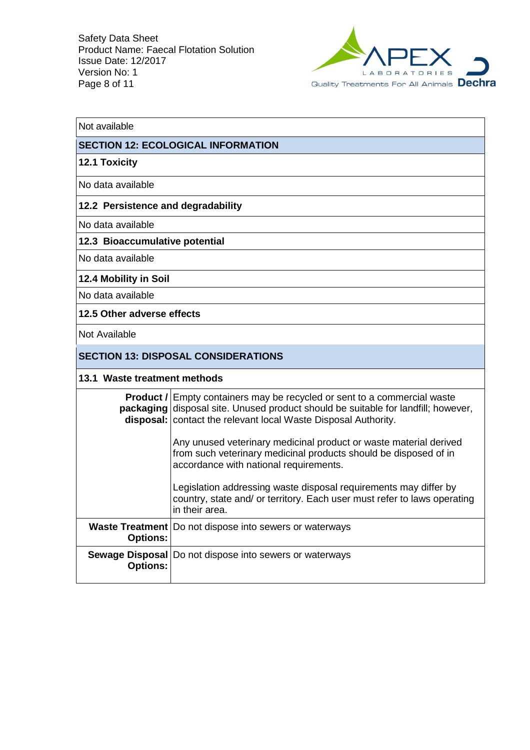

| Not available                      |                                                                                                                                                                                                                                                 |  |  |
|------------------------------------|-------------------------------------------------------------------------------------------------------------------------------------------------------------------------------------------------------------------------------------------------|--|--|
|                                    | <b>SECTION 12: ECOLOGICAL INFORMATION</b>                                                                                                                                                                                                       |  |  |
| <b>12.1 Toxicity</b>               |                                                                                                                                                                                                                                                 |  |  |
| No data available                  |                                                                                                                                                                                                                                                 |  |  |
| 12.2 Persistence and degradability |                                                                                                                                                                                                                                                 |  |  |
| No data available                  |                                                                                                                                                                                                                                                 |  |  |
| 12.3 Bioaccumulative potential     |                                                                                                                                                                                                                                                 |  |  |
| No data available                  |                                                                                                                                                                                                                                                 |  |  |
| 12.4 Mobility in Soil              |                                                                                                                                                                                                                                                 |  |  |
| No data available                  |                                                                                                                                                                                                                                                 |  |  |
| 12.5 Other adverse effects         |                                                                                                                                                                                                                                                 |  |  |
| Not Available                      |                                                                                                                                                                                                                                                 |  |  |
|                                    | <b>SECTION 13: DISPOSAL CONSIDERATIONS</b>                                                                                                                                                                                                      |  |  |
|                                    | 13.1 Waste treatment methods                                                                                                                                                                                                                    |  |  |
|                                    | <b>Product /</b> Empty containers may be recycled or sent to a commercial waste<br><b>packaging</b> disposal site. Unused product should be suitable for landfill; however,<br>disposal:   contact the relevant local Waste Disposal Authority. |  |  |
|                                    | Any unused veterinary medicinal product or waste material derived<br>from such veterinary medicinal products should be disposed of in<br>accordance with national requirements.                                                                 |  |  |
|                                    | Legislation addressing waste disposal requirements may differ by<br>country, state and/ or territory. Each user must refer to laws operating<br>in their area.                                                                                  |  |  |
| <b>Options:</b>                    | <b>Waste Treatment</b>   Do not dispose into sewers or waterways                                                                                                                                                                                |  |  |
| <b>Options:</b>                    | <b>Sewage Disposal</b>   Do not dispose into sewers or waterways                                                                                                                                                                                |  |  |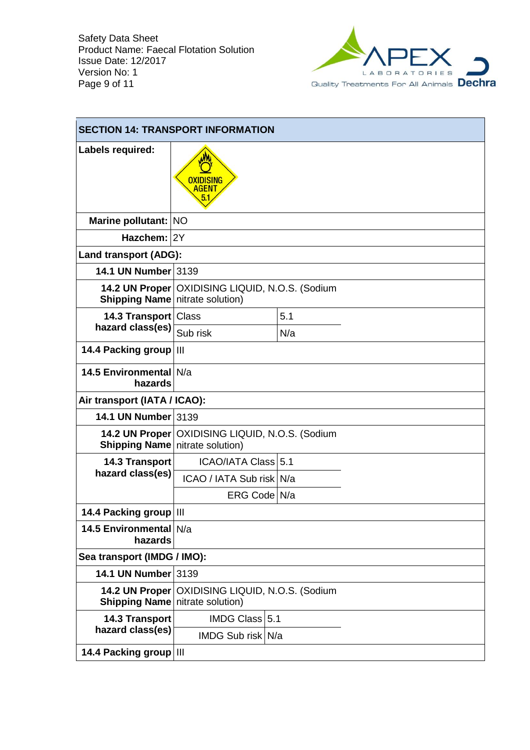

| <b>SECTION 14: TRANSPORT INFORMATION</b> |                                                   |                                                   |  |  |
|------------------------------------------|---------------------------------------------------|---------------------------------------------------|--|--|
| Labels required:                         | OXIDISING<br><b>AGENT</b><br>5.1                  |                                                   |  |  |
| Marine pollutant: NO                     |                                                   |                                                   |  |  |
| Hazchem: 2Y                              |                                                   |                                                   |  |  |
| <b>Land transport (ADG):</b>             |                                                   |                                                   |  |  |
| 14.1 UN Number 3139                      |                                                   |                                                   |  |  |
| <b>Shipping Name</b> nitrate solution)   |                                                   | 14.2 UN Proper   OXIDISING LIQUID, N.O.S. (Sodium |  |  |
| 14.3 Transport   Class                   |                                                   | 5.1                                               |  |  |
| hazard class(es)                         | Sub risk                                          | N/a                                               |  |  |
| 14.4 Packing group                       | $\mathbf{III}$                                    |                                                   |  |  |
| 14.5 Environmental N/a<br>hazards        |                                                   |                                                   |  |  |
| Air transport (IATA / ICAO):             |                                                   |                                                   |  |  |
| 14.1 UN Number 3139                      |                                                   |                                                   |  |  |
| <b>Shipping Name</b> nitrate solution)   | 14.2 UN Proper   OXIDISING LIQUID, N.O.S. (Sodium |                                                   |  |  |
| 14.3 Transport                           | ICAO/IATA Class 5.1                               |                                                   |  |  |
| hazard class(es)                         | ICAO / IATA Sub risk N/a                          |                                                   |  |  |
|                                          | ERG Code N/a                                      |                                                   |  |  |
| 14.4 Packing group   III                 |                                                   |                                                   |  |  |
| 14.5 Environmental N/a<br>hazards        |                                                   |                                                   |  |  |
| Sea transport (IMDG / IMO):              |                                                   |                                                   |  |  |
| 14.1 UN Number 3139                      |                                                   |                                                   |  |  |
| <b>Shipping Name</b> nitrate solution)   | 14.2 UN Proper   OXIDISING LIQUID, N.O.S. (Sodium |                                                   |  |  |
| <b>14.3 Transport</b>                    | <b>IMDG Class 5.1</b>                             |                                                   |  |  |
| hazard class(es)                         | IMDG Sub risk N/a                                 |                                                   |  |  |
| 14.4 Packing group   III                 |                                                   |                                                   |  |  |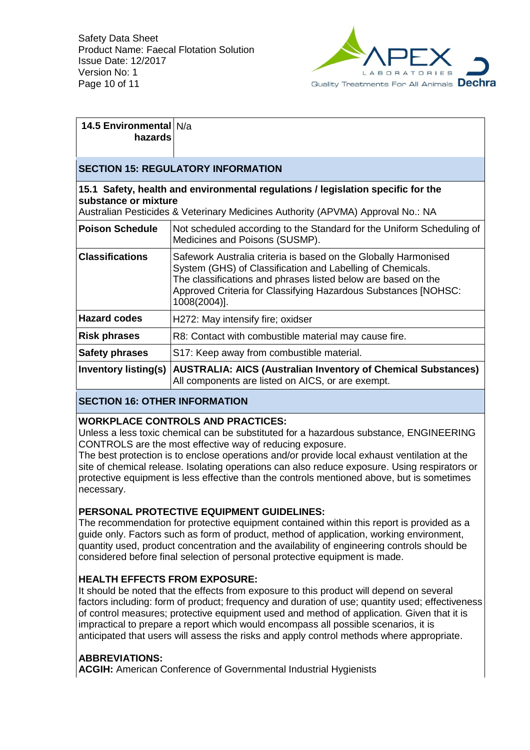

#### **14.5 Environmental**  N/a **hazards**

# **SECTION 15: REGULATORY INFORMATION**

### **15.1 Safety, health and environmental regulations / legislation specific for the substance or mixture**

Australian Pesticides & Veterinary Medicines Authority (APVMA) Approval No.: NA

| <b>Poison Schedule</b>      | Not scheduled according to the Standard for the Uniform Scheduling of<br>Medicines and Poisons (SUSMP).                                                                                                                                                                          |
|-----------------------------|----------------------------------------------------------------------------------------------------------------------------------------------------------------------------------------------------------------------------------------------------------------------------------|
| <b>Classifications</b>      | Safework Australia criteria is based on the Globally Harmonised<br>System (GHS) of Classification and Labelling of Chemicals.<br>The classifications and phrases listed below are based on the<br>Approved Criteria for Classifying Hazardous Substances [NOHSC:<br>1008(2004)]. |
| <b>Hazard codes</b>         | H272: May intensify fire; oxidser                                                                                                                                                                                                                                                |
| <b>Risk phrases</b>         | R8: Contact with combustible material may cause fire.                                                                                                                                                                                                                            |
| <b>Safety phrases</b>       | S17: Keep away from combustible material.                                                                                                                                                                                                                                        |
| <b>Inventory listing(s)</b> | <b>AUSTRALIA: AICS (Australian Inventory of Chemical Substances)</b><br>All components are listed on AICS, or are exempt.                                                                                                                                                        |

## **SECTION 16: OTHER INFORMATION**

## **WORKPLACE CONTROLS AND PRACTICES:**

Unless a less toxic chemical can be substituted for a hazardous substance, ENGINEERING CONTROLS are the most effective way of reducing exposure.

The best protection is to enclose operations and/or provide local exhaust ventilation at the site of chemical release. Isolating operations can also reduce exposure. Using respirators or protective equipment is less effective than the controls mentioned above, but is sometimes necessary.

## **PERSONAL PROTECTIVE EQUIPMENT GUIDELINES:**

The recommendation for protective equipment contained within this report is provided as a guide only. Factors such as form of product, method of application, working environment, quantity used, product concentration and the availability of engineering controls should be considered before final selection of personal protective equipment is made.

## **HEALTH EFFECTS FROM EXPOSURE:**

It should be noted that the effects from exposure to this product will depend on several factors including: form of product; frequency and duration of use; quantity used; effectiveness of control measures; protective equipment used and method of application. Given that it is impractical to prepare a report which would encompass all possible scenarios, it is anticipated that users will assess the risks and apply control methods where appropriate.

## **ABBREVIATIONS:**

**ACGIH:** American Conference of Governmental Industrial Hygienists